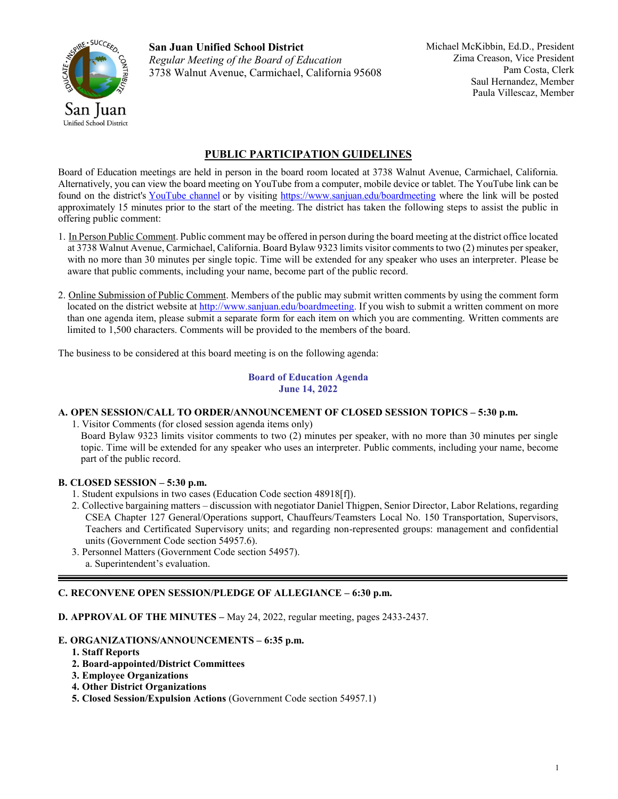

**San Juan Unified School District** *Regular Meeting of the Board of Education* 3738 Walnut Avenue, Carmichael, California 95608 Michael McKibbin, Ed.D., President Zima Creason, Vice President Pam Costa, Clerk Saul Hernandez, Member Paula Villescaz, Member

# **PUBLIC PARTICIPATION GUIDELINES**

Board of Education meetings are held in person in the board room located at 3738 Walnut Avenue, Carmichael, California. Alternatively, you can view the board meeting on YouTube from a computer, mobile device or tablet. The YouTube link can be found on the district's [YouTube channel](file:///C:/rmeyer/Documents/nroux/Board%20Files/Board%20Agendas%20-%20nr/2021-2022/2%20-%20August%202021/08.10.21/YouTube%20channel) or by visiting<https://www.sanjuan.edu/boardmeeting> where the link will be posted approximately 15 minutes prior to the start of the meeting. The district has taken the following steps to assist the public in offering public comment:

- 1. In Person Public Comment. Public comment may be offered in person during the board meeting at the district office located at 3738 Walnut Avenue, Carmichael, California. Board Bylaw 9323 limits visitor comments to two (2) minutes per speaker, with no more than 30 minutes per single topic. Time will be extended for any speaker who uses an interpreter. Please be aware that public comments, including your name, become part of the public record.
- 2. Online Submission of Public Comment. Members of the public may submit written comments by using the comment form located on the district website a[t http://www.sanjuan.edu/boardmeeting.](http://www.sanjuan.edu/boardmeeting) If you wish to submit a written comment on more than one agenda item, please submit a separate form for each item on which you are commenting. Written comments are limited to 1,500 characters. Comments will be provided to the members of the board.

The business to be considered at this board meeting is on the following agenda:

**Board of Education Agenda June 14, 2022**

#### **A. OPEN SESSION/CALL TO ORDER/ANNOUNCEMENT OF CLOSED SESSION TOPICS – 5:30 p.m.**

1. Visitor Comments (for closed session agenda items only) Board Bylaw 9323 limits visitor comments to two (2) minutes per speaker, with no more than 30 minutes per single topic. Time will be extended for any speaker who uses an interpreter. Public comments, including your name, become part of the public record.

## **B. CLOSED SESSION – 5:30 p.m.**

- 1. Student expulsions in two cases (Education Code section 48918[f]).
- 2. Collective bargaining matters discussion with negotiator Daniel Thigpen, Senior Director, Labor Relations, regarding CSEA Chapter 127 General/Operations support, Chauffeurs/Teamsters Local No. 150 Transportation, Supervisors, Teachers and Certificated Supervisory units; and regarding non-represented groups: management and confidential units (Government Code section 54957.6).
- 3. Personnel Matters (Government Code section 54957). a. Superintendent's evaluation.

## **C. RECONVENE OPEN SESSION/PLEDGE OF ALLEGIANCE – 6:30 p.m.**

**D. APPROVAL OF THE MINUTES –** May 24, 2022, regular meeting, pages 2433-2437.

## **E. ORGANIZATIONS/ANNOUNCEMENTS – 6:35 p.m.**

- **1. Staff Reports**
- **2. Board-appointed/District Committees**
- **3. Employee Organizations**
- **4. Other District Organizations**
- **5. Closed Session/Expulsion Actions** (Government Code section 54957.1)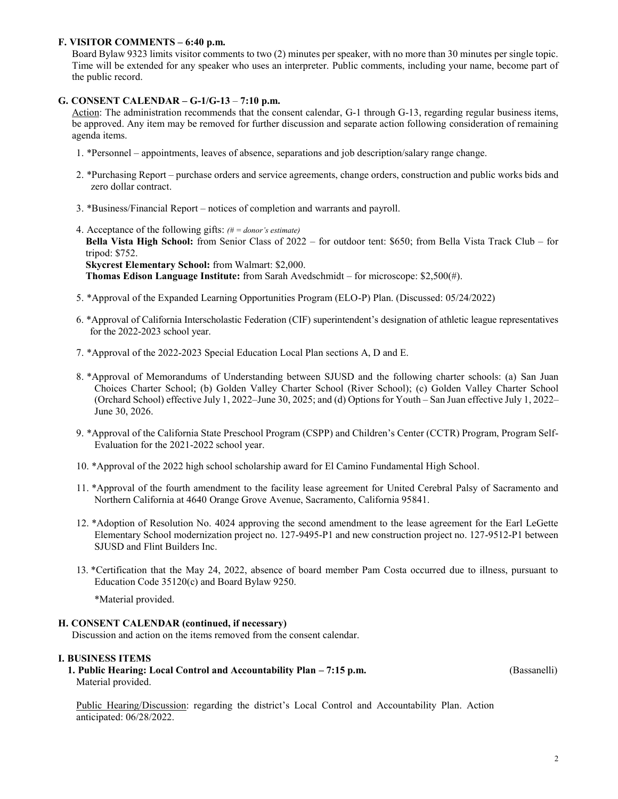#### **F. VISITOR COMMENTS – 6:40 p.m.**

Board Bylaw 9323 limits visitor comments to two (2) minutes per speaker, with no more than 30 minutes per single topic. Time will be extended for any speaker who uses an interpreter. Public comments, including your name, become part of the public record.

#### **G. CONSENT CALENDAR – G-1/G-13** – **7:10 p.m.**

Action: The administration recommends that the consent calendar, G-1 through G-13, regarding regular business items, be approved. Any item may be removed for further discussion and separate action following consideration of remaining agenda items.

- 1. \*Personnel appointments, leaves of absence, separations and job description/salary range change.
- 2. \*Purchasing Report purchase orders and service agreements, change orders, construction and public works bids and zero dollar contract.
- 3. \*Business/Financial Report notices of completion and warrants and payroll.
- 4. Acceptance of the following gifts: *(# = donor's estimate)* **Bella Vista High School:** from Senior Class of 2022 – for outdoor tent: \$650; from Bella Vista Track Club – for tripod: \$752. **Skycrest Elementary School:** from Walmart: \$2,000. **Thomas Edison Language Institute:** from Sarah Avedschmidt – for microscope: \$2,500(#).
- 5. \*Approval of the Expanded Learning Opportunities Program (ELO-P) Plan. (Discussed: 05/24/2022)
- 6. \*Approval of California Interscholastic Federation (CIF) superintendent's designation of athletic league representatives for the 2022-2023 school year.
- 7. \*Approval of the 2022-2023 Special Education Local Plan sections A, D and E.
- 8. \*Approval of Memorandums of Understanding between SJUSD and the following charter schools: (a) San Juan Choices Charter School; (b) Golden Valley Charter School (River School); (c) Golden Valley Charter School (Orchard School) effective July 1, 2022–June 30, 2025; and (d) Options for Youth – San Juan effective July 1, 2022– June 30, 2026.
- 9. \*Approval of the California State Preschool Program (CSPP) and Children's Center (CCTR) Program, Program Self-Evaluation for the 2021-2022 school year.
- 10. \*Approval of the 2022 high school scholarship award for El Camino Fundamental High School.
- 11. \*Approval of the fourth amendment to the facility lease agreement for United Cerebral Palsy of Sacramento and Northern California at 4640 Orange Grove Avenue, Sacramento, California 95841.
- 12. \*Adoption of Resolution No. 4024 approving the second amendment to the lease agreement for the Earl LeGette Elementary School modernization project no. 127-9495-P1 and new construction project no. 127-9512-P1 between SJUSD and Flint Builders Inc.
- 13. \*Certification that the May 24, 2022, absence of board member Pam Costa occurred due to illness, pursuant to Education Code 35120(c) and Board Bylaw 9250.

\*Material provided.

#### **H. CONSENT CALENDAR (continued, if necessary)**

Discussion and action on the items removed from the consent calendar.

#### **I. BUSINESS ITEMS**

**1. Public Hearing: Local Control and Accountability Plan – 7:15 p.m.** (Bassanelli) Material provided.

Public Hearing/Discussion: regarding the district's Local Control and Accountability Plan. Action anticipated: 06/28/2022.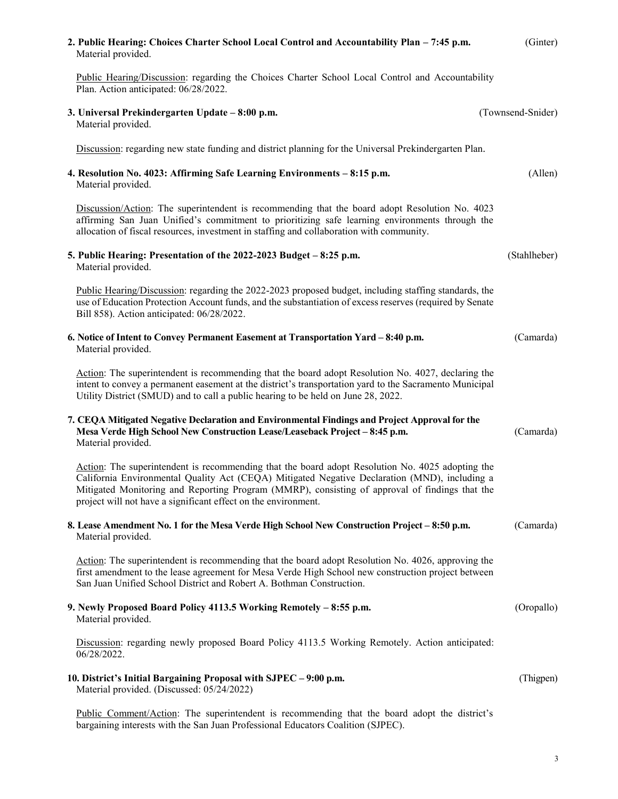| 2. Public Hearing: Choices Charter School Local Control and Accountability Plan – 7:45 p.m.<br>Material provided.                                                                                                                                                                                                                                                     | (Ginter)          |
|-----------------------------------------------------------------------------------------------------------------------------------------------------------------------------------------------------------------------------------------------------------------------------------------------------------------------------------------------------------------------|-------------------|
| Public Hearing/Discussion: regarding the Choices Charter School Local Control and Accountability<br>Plan. Action anticipated: 06/28/2022.                                                                                                                                                                                                                             |                   |
| 3. Universal Prekindergarten Update – 8:00 p.m.<br>Material provided.                                                                                                                                                                                                                                                                                                 | (Townsend-Snider) |
| Discussion: regarding new state funding and district planning for the Universal Prekindergarten Plan.                                                                                                                                                                                                                                                                 |                   |
| 4. Resolution No. 4023: Affirming Safe Learning Environments - 8:15 p.m.<br>Material provided.                                                                                                                                                                                                                                                                        | (Allen)           |
| Discussion/Action: The superintendent is recommending that the board adopt Resolution No. 4023<br>affirming San Juan Unified's commitment to prioritizing safe learning environments through the<br>allocation of fiscal resources, investment in staffing and collaboration with community.                                                                          |                   |
| 5. Public Hearing: Presentation of the 2022-2023 Budget – 8:25 p.m.<br>Material provided.                                                                                                                                                                                                                                                                             | (Stahlheber)      |
| Public Hearing/Discussion: regarding the 2022-2023 proposed budget, including staffing standards, the<br>use of Education Protection Account funds, and the substantiation of excess reserves (required by Senate<br>Bill 858). Action anticipated: 06/28/2022.                                                                                                       |                   |
| 6. Notice of Intent to Convey Permanent Easement at Transportation Yard – 8:40 p.m.<br>Material provided.                                                                                                                                                                                                                                                             | (Camarda)         |
| Action: The superintendent is recommending that the board adopt Resolution No. 4027, declaring the<br>intent to convey a permanent easement at the district's transportation yard to the Sacramento Municipal<br>Utility District (SMUD) and to call a public hearing to be held on June 28, 2022.                                                                    |                   |
| 7. CEQA Mitigated Negative Declaration and Environmental Findings and Project Approval for the<br>Mesa Verde High School New Construction Lease/Leaseback Project - 8:45 p.m.<br>Material provided.                                                                                                                                                                   | (Camarda)         |
| Action: The superintendent is recommending that the board adopt Resolution No. 4025 adopting the<br>California Environmental Quality Act (CEQA) Mitigated Negative Declaration (MND), including a<br>Mitigated Monitoring and Reporting Program (MMRP), consisting of approval of findings that the<br>project will not have a significant effect on the environment. |                   |
| 8. Lease Amendment No. 1 for the Mesa Verde High School New Construction Project – 8:50 p.m.<br>Material provided.                                                                                                                                                                                                                                                    | (Camarda)         |
| Action: The superintendent is recommending that the board adopt Resolution No. 4026, approving the<br>first amendment to the lease agreement for Mesa Verde High School new construction project between<br>San Juan Unified School District and Robert A. Bothman Construction.                                                                                      |                   |
| 9. Newly Proposed Board Policy 4113.5 Working Remotely - 8:55 p.m.<br>Material provided.                                                                                                                                                                                                                                                                              | (Oropallo)        |
| Discussion: regarding newly proposed Board Policy 4113.5 Working Remotely. Action anticipated:<br>06/28/2022.                                                                                                                                                                                                                                                         |                   |
| 10. District's Initial Bargaining Proposal with SJPEC - 9:00 p.m.<br>Material provided. (Discussed: 05/24/2022)                                                                                                                                                                                                                                                       | (Thigpen)         |
| Public Comment/Action: The superintendent is recommending that the board adopt the district's                                                                                                                                                                                                                                                                         |                   |

bargaining interests with the San Juan Professional Educators Coalition (SJPEC).